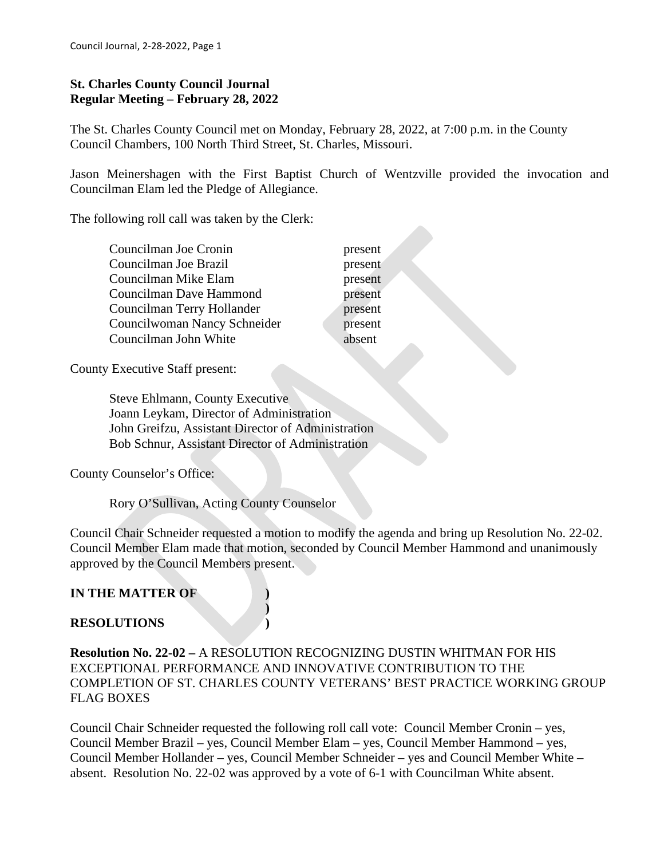## **St. Charles County Council Journal Regular Meeting – February 28, 2022**

The St. Charles County Council met on Monday, February 28, 2022, at 7:00 p.m. in the County Council Chambers, 100 North Third Street, St. Charles, Missouri.

Jason Meinershagen with the First Baptist Church of Wentzville provided the invocation and Councilman Elam led the Pledge of Allegiance.

The following roll call was taken by the Clerk:

| Councilman Joe Cronin        |  |
|------------------------------|--|
| Councilman Joe Brazil        |  |
| Councilman Mike Elam         |  |
| Councilman Dave Hammond      |  |
| Councilman Terry Hollander   |  |
| Councilwoman Nancy Schneider |  |
| Councilman John White        |  |

present present present present present present absent

County Executive Staff present:

 Steve Ehlmann, County Executive Joann Leykam, Director of Administration John Greifzu, Assistant Director of Administration Bob Schnur, Assistant Director of Administration

**)**

County Counselor's Office:

Rory O'Sullivan, Acting County Counselor

Council Chair Schneider requested a motion to modify the agenda and bring up Resolution No. 22-02. Council Member Elam made that motion, seconded by Council Member Hammond and unanimously approved by the Council Members present.

# **IN THE MATTER OF )**

# **RESOLUTIONS )**

**Resolution No. 22-02 –** A RESOLUTION RECOGNIZING DUSTIN WHITMAN FOR HIS EXCEPTIONAL PERFORMANCE AND INNOVATIVE CONTRIBUTION TO THE COMPLETION OF ST. CHARLES COUNTY VETERANS' BEST PRACTICE WORKING GROUP FLAG BOXES

Council Chair Schneider requested the following roll call vote: Council Member Cronin – yes, Council Member Brazil – yes, Council Member Elam – yes, Council Member Hammond – yes, Council Member Hollander – yes, Council Member Schneider – yes and Council Member White – absent. Resolution No. 22-02 was approved by a vote of 6-1 with Councilman White absent.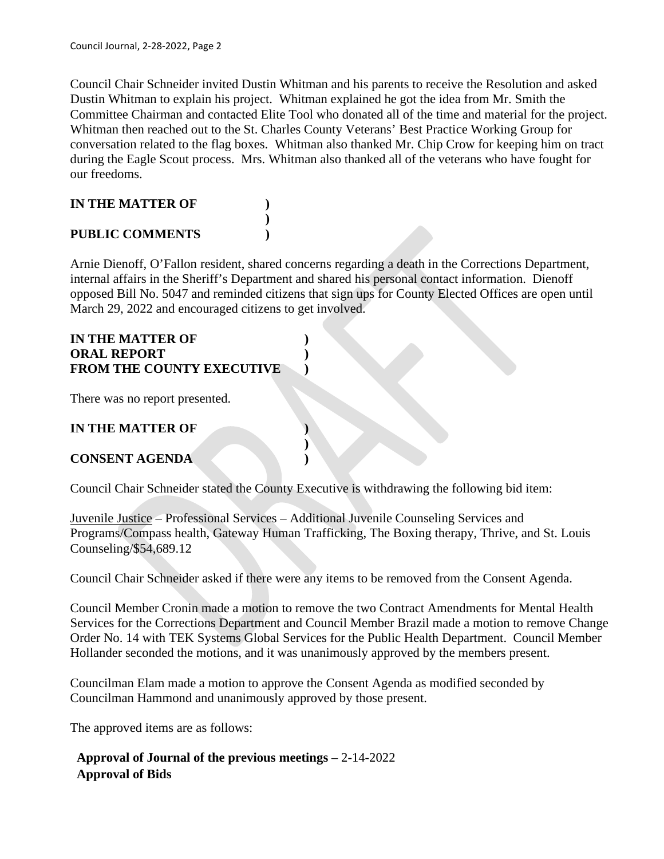Council Chair Schneider invited Dustin Whitman and his parents to receive the Resolution and asked Dustin Whitman to explain his project. Whitman explained he got the idea from Mr. Smith the Committee Chairman and contacted Elite Tool who donated all of the time and material for the project. Whitman then reached out to the St. Charles County Veterans' Best Practice Working Group for conversation related to the flag boxes. Whitman also thanked Mr. Chip Crow for keeping him on tract during the Eagle Scout process. Mrs. Whitman also thanked all of the veterans who have fought for our freedoms.

#### **IN THE MATTER OF ) ) PUBLIC COMMENTS )**

Arnie Dienoff, O'Fallon resident, shared concerns regarding a death in the Corrections Department, internal affairs in the Sheriff's Department and shared his personal contact information. Dienoff opposed Bill No. 5047 and reminded citizens that sign ups for County Elected Offices are open until March 29, 2022 and encouraged citizens to get involved.

#### **IN THE MATTER OF ) ORAL REPORT ) FROM THE COUNTY EXECUTIVE )**

There was no report presented.

## **IN THE MATTER OF )**

# **CONSENT AGENDA )**

Council Chair Schneider stated the County Executive is withdrawing the following bid item:

**)**

Juvenile Justice – Professional Services – Additional Juvenile Counseling Services and Programs/Compass health, Gateway Human Trafficking, The Boxing therapy, Thrive, and St. Louis Counseling/\$54,689.12

Council Chair Schneider asked if there were any items to be removed from the Consent Agenda.

Council Member Cronin made a motion to remove the two Contract Amendments for Mental Health Services for the Corrections Department and Council Member Brazil made a motion to remove Change Order No. 14 with TEK Systems Global Services for the Public Health Department. Council Member Hollander seconded the motions, and it was unanimously approved by the members present.

Councilman Elam made a motion to approve the Consent Agenda as modified seconded by Councilman Hammond and unanimously approved by those present.

The approved items are as follows:

 **Approval of Journal of the previous meetings** – 2-14-2022  **Approval of Bids**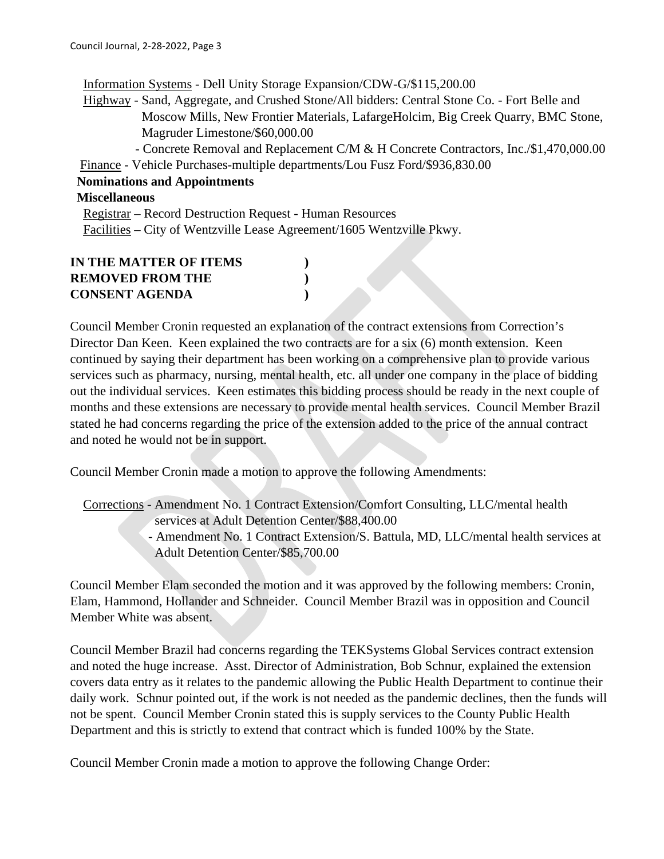Information Systems - Dell Unity Storage Expansion/CDW-G/\$115,200.00 Highway - Sand, Aggregate, and Crushed Stone/All bidders: Central Stone Co. - Fort Belle and Moscow Mills, New Frontier Materials, LafargeHolcim, Big Creek Quarry, BMC Stone, Magruder Limestone/\$60,000.00 - Concrete Removal and Replacement C/M & H Concrete Contractors, Inc./\$1,470,000.00 Finance - Vehicle Purchases-multiple departments/Lou Fusz Ford/\$936,830.00 **Nominations and Appointments Miscellaneous** Registrar – Record Destruction Request - Human Resources Facilities – City of Wentzville Lease Agreement/1605 Wentzville Pkwy.

| IN THE MATTER OF ITEMS  |  |
|-------------------------|--|
| <b>REMOVED FROM THE</b> |  |
| <b>CONSENT AGENDA</b>   |  |

Council Member Cronin requested an explanation of the contract extensions from Correction's Director Dan Keen. Keen explained the two contracts are for a six (6) month extension. Keen continued by saying their department has been working on a comprehensive plan to provide various services such as pharmacy, nursing, mental health, etc. all under one company in the place of bidding out the individual services. Keen estimates this bidding process should be ready in the next couple of months and these extensions are necessary to provide mental health services. Council Member Brazil stated he had concerns regarding the price of the extension added to the price of the annual contract and noted he would not be in support.

Council Member Cronin made a motion to approve the following Amendments:

 Corrections - Amendment No. 1 Contract Extension/Comfort Consulting, LLC/mental health services at Adult Detention Center/\$88,400.00 - Amendment No. 1 Contract Extension/S. Battula, MD, LLC/mental health services at Adult Detention Center/\$85,700.00

Council Member Elam seconded the motion and it was approved by the following members: Cronin, Elam, Hammond, Hollander and Schneider. Council Member Brazil was in opposition and Council Member White was absent.

Council Member Brazil had concerns regarding the TEKSystems Global Services contract extension and noted the huge increase. Asst. Director of Administration, Bob Schnur, explained the extension covers data entry as it relates to the pandemic allowing the Public Health Department to continue their daily work. Schnur pointed out, if the work is not needed as the pandemic declines, then the funds will not be spent. Council Member Cronin stated this is supply services to the County Public Health Department and this is strictly to extend that contract which is funded 100% by the State.

Council Member Cronin made a motion to approve the following Change Order: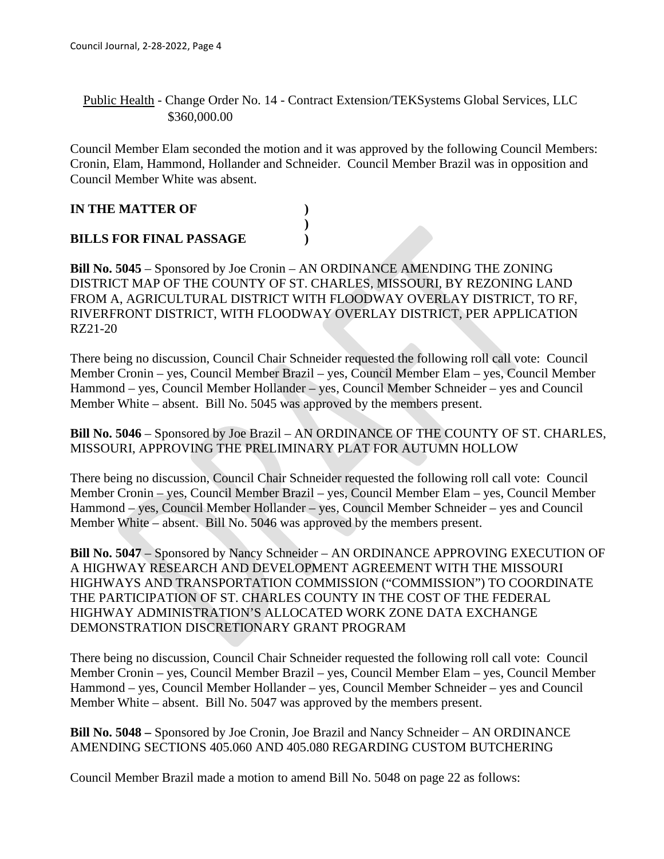Public Health - Change Order No. 14 - Contract Extension/TEKSystems Global Services, LLC \$360,000.00

Council Member Elam seconded the motion and it was approved by the following Council Members: Cronin, Elam, Hammond, Hollander and Schneider. Council Member Brazil was in opposition and Council Member White was absent.

# **IN THE MATTER OF ) ) BILLS FOR FINAL PASSAGE )**

**Bill No. 5045** – Sponsored by Joe Cronin – AN ORDINANCE AMENDING THE ZONING DISTRICT MAP OF THE COUNTY OF ST. CHARLES, MISSOURI, BY REZONING LAND FROM A, AGRICULTURAL DISTRICT WITH FLOODWAY OVERLAY DISTRICT, TO RF, RIVERFRONT DISTRICT, WITH FLOODWAY OVERLAY DISTRICT, PER APPLICATION RZ21-20

There being no discussion, Council Chair Schneider requested the following roll call vote: Council Member Cronin – yes, Council Member Brazil – yes, Council Member Elam – yes, Council Member Hammond – yes, Council Member Hollander – yes, Council Member Schneider – yes and Council Member White – absent. Bill No. 5045 was approved by the members present.

**Bill No. 5046** – Sponsored by Joe Brazil – AN ORDINANCE OF THE COUNTY OF ST. CHARLES, MISSOURI, APPROVING THE PRELIMINARY PLAT FOR AUTUMN HOLLOW

There being no discussion, Council Chair Schneider requested the following roll call vote: Council Member Cronin – yes, Council Member Brazil – yes, Council Member Elam – yes, Council Member Hammond – yes, Council Member Hollander – yes, Council Member Schneider – yes and Council Member White – absent. Bill No. 5046 was approved by the members present.

**Bill No. 5047** – Sponsored by Nancy Schneider – AN ORDINANCE APPROVING EXECUTION OF A HIGHWAY RESEARCH AND DEVELOPMENT AGREEMENT WITH THE MISSOURI HIGHWAYS AND TRANSPORTATION COMMISSION ("COMMISSION") TO COORDINATE THE PARTICIPATION OF ST. CHARLES COUNTY IN THE COST OF THE FEDERAL HIGHWAY ADMINISTRATION'S ALLOCATED WORK ZONE DATA EXCHANGE DEMONSTRATION DISCRETIONARY GRANT PROGRAM

There being no discussion, Council Chair Schneider requested the following roll call vote: Council Member Cronin – yes, Council Member Brazil – yes, Council Member Elam – yes, Council Member Hammond – yes, Council Member Hollander – yes, Council Member Schneider – yes and Council Member White – absent. Bill No. 5047 was approved by the members present.

**Bill No. 5048 –** Sponsored by Joe Cronin, Joe Brazil and Nancy Schneider – AN ORDINANCE AMENDING SECTIONS 405.060 AND 405.080 REGARDING CUSTOM BUTCHERING

Council Member Brazil made a motion to amend Bill No. 5048 on page 22 as follows: